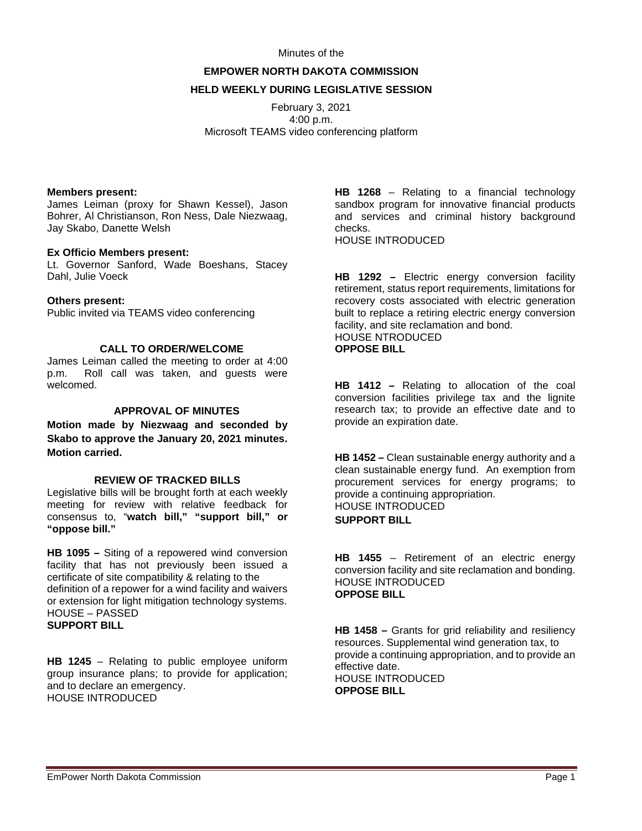#### Minutes of the

# **EMPOWER NORTH DAKOTA COMMISSION HELD WEEKLY DURING LEGISLATIVE SESSION**

February 3, 2021 4:00 p.m. Microsoft TEAMS video conferencing platform

#### **Members present:**

James Leiman (proxy for Shawn Kessel), Jason Bohrer, Al Christianson, Ron Ness, Dale Niezwaag, Jay Skabo, Danette Welsh

### **Ex Officio Members present:**

Lt. Governor Sanford, Wade Boeshans, Stacey Dahl, Julie Voeck

## **Others present:**

Public invited via TEAMS video conferencing

# **CALL TO ORDER/WELCOME**

James Leiman called the meeting to order at 4:00 p.m. Roll call was taken, and guests were welcomed.

## **APPROVAL OF MINUTES**

**Motion made by Niezwaag and seconded by Skabo to approve the January 20, 2021 minutes. Motion carried.**

## **REVIEW OF TRACKED BILLS**

Legislative bills will be brought forth at each weekly meeting for review with relative feedback for consensus to, "**watch bill," "support bill," or "oppose bill."**

**HB 1095 –** Siting of a repowered wind conversion facility that has not previously been issued a certificate of site compatibility & relating to the definition of a repower for a wind facility and waivers or extension for light mitigation technology systems. HOUSE – PASSED **SUPPORT BILL**

**HB 1245** – Relating to public employee uniform group insurance plans; to provide for application; and to declare an emergency. HOUSE INTRODUCED

**HB 1268** – Relating to a financial technology sandbox program for innovative financial products and services and criminal history background checks. HOUSE INTRODUCED

**HB 1292 –** Electric energy conversion facility retirement, status report requirements, limitations for recovery costs associated with electric generation built to replace a retiring electric energy conversion facility, and site reclamation and bond. HOUSE NTRODUCED **OPPOSE BILL**

**HB 1412 –** Relating to allocation of the coal conversion facilities privilege tax and the lignite research tax; to provide an effective date and to provide an expiration date.

**HB 1452 –** Clean sustainable energy authority and a clean sustainable energy fund. An exemption from procurement services for energy programs; to provide a continuing appropriation. HOUSE INTRODUCED **SUPPORT BILL**

**HB 1455** – Retirement of an electric energy conversion facility and site reclamation and bonding. HOUSE INTRODUCED **OPPOSE BILL**

**HB 1458 –** Grants for grid reliability and resiliency resources. Supplemental wind generation tax, to provide a continuing appropriation, and to provide an effective date. HOUSE INTRODUCED **OPPOSE BILL**